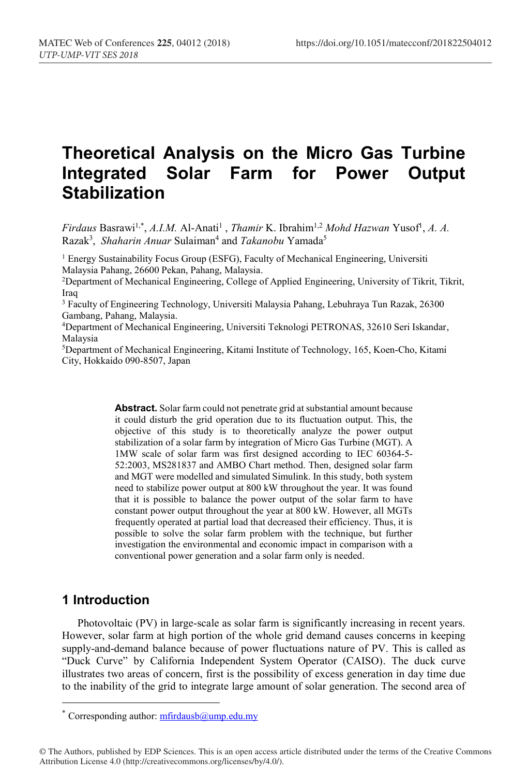# **Theoretical Analysis on the Micro Gas Turbine Integrated Solar Farm for Power Output Stabilization**

*Firdaus* Basrawi<sup>1,\*</sup>, *A.I.M.* Al-Anati<sup>1</sup>, *Thamir* K. Ibrahim<sup>1,2</sup> *Mohd Hazwan* Yusof<sup>1</sup>, *A. A.* Razak<sup>3</sup>, Shaharin Anuar Sulaiman<sup>4</sup> and *Takanobu* Yamada<sup>5</sup>

<sup>1</sup> Energy Sustainability Focus Group (ESFG), Faculty of Mechanical Engineering, Universiti Malaysia Pahang, 26600 Pekan, Pahang, Malaysia.

2Department of Mechanical Engineering, College of Applied Engineering, University of Tikrit, Tikrit, Iraq

<sup>3</sup> Faculty of Engineering Technology, Universiti Malaysia Pahang, Lebuhraya Tun Razak, 26300 Gambang, Pahang, Malaysia.

4Department of Mechanical Engineering, Universiti Teknologi PETRONAS, 32610 Seri Iskandar, Malaysia

5Department of Mechanical Engineering, Kitami Institute of Technology, 165, Koen-Cho, Kitami City, Hokkaido 090-8507, Japan

> **Abstract.** Solar farm could not penetrate grid at substantial amount because it could disturb the grid operation due to its fluctuation output. This, the objective of this study is to theoretically analyze the power output stabilization of a solar farm by integration of Micro Gas Turbine (MGT). A 1MW scale of solar farm was first designed according to IEC 60364-5- 52:2003, MS281837 and AMBO Chart method. Then, designed solar farm and MGT were modelled and simulated Simulink. In this study, both system need to stabilize power output at 800 kW throughout the year. It was found that it is possible to balance the power output of the solar farm to have constant power output throughout the year at 800 kW. However, all MGTs frequently operated at partial load that decreased their efficiency. Thus, it is possible to solve the solar farm problem with the technique, but further investigation the environmental and economic impact in comparison with a conventional power generation and a solar farm only is needed.

### **1 Introduction**

Photovoltaic (PV) in large-scale as solar farm is significantly increasing in recent years. However, solar farm at high portion of the whole grid demand causes concerns in keeping supply-and-demand balance because of power fluctuations nature of PV. This is called as "Duck Curve" by California Independent System Operator (CAISO). The duck curve illustrates two areas of concern, first is the possibility of excess generation in day time due to the inability of the grid to integrate large amount of solar generation. The second area of

© The Authors, published by EDP Sciences. This is an open access article distributed under the terms of the Creative Commons Attribution License 4.0 (http://creativecommons.org/licenses/by/4.0/).

<sup>\*</sup> Corresponding author:  $mfrd$  dush  $a$ ump.edu.my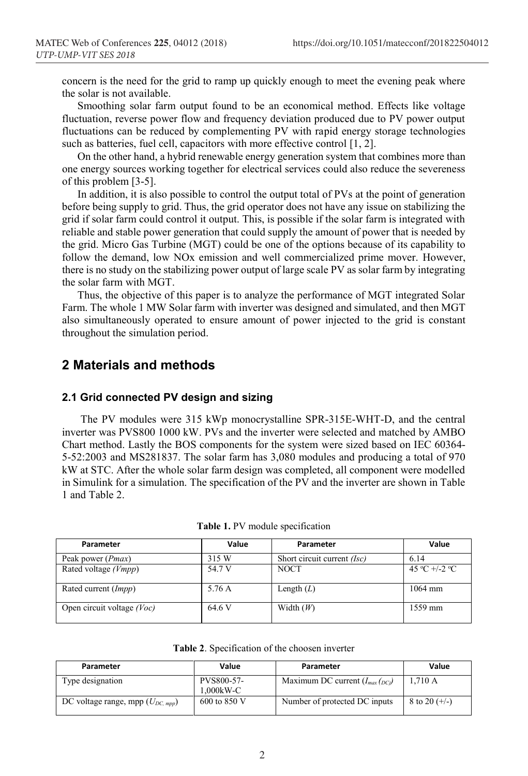concern is the need for the grid to ramp up quickly enough to meet the evening peak where the solar is not available.

Smoothing solar farm output found to be an economical method. Effects like voltage fluctuation, reverse power flow and frequency deviation produced due to PV power output fluctuations can be reduced by complementing PV with rapid energy storage technologies such as batteries, fuel cell, capacitors with more effective control [1, 2].

On the other hand, a hybrid renewable energy generation system that combines more than one energy sources working together for electrical services could also reduce the severeness of this problem [3-5].

In addition, it is also possible to control the output total of PVs at the point of generation before being supply to grid. Thus, the grid operator does not have any issue on stabilizing the grid if solar farm could control it output. This, is possible if the solar farm is integrated with reliable and stable power generation that could supply the amount of power that is needed by the grid. Micro Gas Turbine (MGT) could be one of the options because of its capability to follow the demand, low NOx emission and well commercialized prime mover. However, there is no study on the stabilizing power output of large scale PV as solar farm by integrating the solar farm with MGT.

Thus, the objective of this paper is to analyze the performance of MGT integrated Solar Farm. The whole 1 MW Solar farm with inverter was designed and simulated, and then MGT also simultaneously operated to ensure amount of power injected to the grid is constant throughout the simulation period.

## **2 Materials and methods**

### **2.1 Grid connected PV design and sizing**

The PV modules were 315 kWp monocrystalline SPR-315E-WHT-D, and the central inverter was PVS800 1000 kW. PVs and the inverter were selected and matched by AMBO Chart method. Lastly the BOS components for the system were sized based on IEC 60364- 5-52:2003 and MS281837. The solar farm has 3,080 modules and producing a total of 970 kW at STC. After the whole solar farm design was completed, all component were modelled in Simulink for a simulation. The specification of the PV and the inverter are shown in Table 1 and Table 2.

| Parameter                    | Value  | Parameter                          | Value         |
|------------------------------|--------|------------------------------------|---------------|
| Peak power ( <i>Pmax</i> )   | 315 W  | Short circuit current <i>(Isc)</i> | 6.14          |
| Rated voltage (Vmpp)         | 54.7 V | <b>NOCT</b>                        | 45 °C +/-2 °C |
| Rated current (Impp)         | 5.76 A | Length $(L)$                       | $1064$ mm     |
| Open circuit voltage $(Voc)$ | 64.6 V | Width $(W)$                        | 1559 mm       |

**Table 1.** PV module specification

**Table 2**. Specification of the choosen inverter

| Parameter                             | Value                   | Parameter                           | Value           |
|---------------------------------------|-------------------------|-------------------------------------|-----------------|
| Type designation                      | PVS800-57-<br>1.000kW-C | Maximum DC current $(I_{max}(p_C))$ | 1.710A          |
| DC voltage range, mpp $(U_{DC, mpp})$ | 600 to 850 V            | Number of protected DC inputs       | 8 to 20 $(+/-)$ |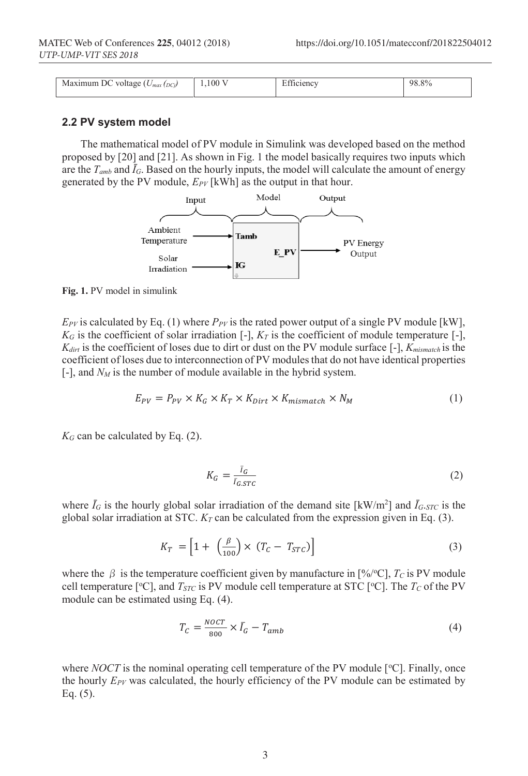| Maximum DC<br>voltage $(U_n)$<br>$U_{max}(DC)$ | $1,100$ <sup>V</sup> | $\Gamma$ $\alpha$ <sup><math>\alpha</math></sup><br>_tficiency | 98.8% |
|------------------------------------------------|----------------------|----------------------------------------------------------------|-------|

### **2.2 PV system model**

The mathematical model of PV module in Simulink was developed based on the method proposed by [20] and [21]. As shown in Fig. 1 the model basically requires two inputs which are the  $T_{amb}$  and  $\bar{I}_G$ . Based on the hourly inputs, the model will calculate the amount of energy generated by the PV module,  $E_{PV}$  [kWh] as the output in that hour.



**Fig. 1.** PV model in simulink

 $E_{PY}$  is calculated by Eq. (1) where  $P_{PY}$  is the rated power output of a single PV module [kW],  $K_G$  is the coefficient of solar irradiation  $[-]$ ,  $K_T$  is the coefficient of module temperature  $[-]$ , *Kdirt* is the coefficient of loses due to dirt or dust on the PV module surface [-], *Kmismatch* is the coefficient of loses due to interconnection of PV modules that do not have identical properties  $[-]$ , and  $N_M$  is the number of module available in the hybrid system.

$$
E_{PV} = P_{PV} \times K_G \times K_T \times K_{Dirt} \times K_{mismatch} \times N_M \tag{1}
$$

 $K_G$  can be calculated by Eq. (2).

$$
K_G = \frac{\bar{I}_G}{\bar{I}_{G,STC}}\tag{2}
$$

where  $\bar{I}_G$  is the hourly global solar irradiation of the demand site  $\text{[kW/m}^2\text{]}$  and  $\bar{I}_{G \text{-}STC}$  is the global solar irradiation at STC.  $K_T$  can be calculated from the expression given in Eq. (3).

$$
K_T = \left[1 + \left(\frac{\beta}{100}\right) \times \left(T_C - T_{STC}\right)\right] \tag{3}
$$

where the  $\beta$  is the temperature coefficient given by manufacture in [%/°C],  $T_c$  is PV module cell temperature [ $\degree$ C], and *T<sub>STC</sub>* is PV module cell temperature at STC [ $\degree$ C]. The *T<sub>C</sub>* of the PV module can be estimated using Eq. (4).

$$
T_C = \frac{Nocr}{800} \times \bar{I}_G - T_{amb} \tag{4}
$$

where  $NOCT$  is the nominal operating cell temperature of the PV module  $[°C]$ . Finally, once the hourly *EPV* was calculated, the hourly efficiency of the PV module can be estimated by Eq. (5).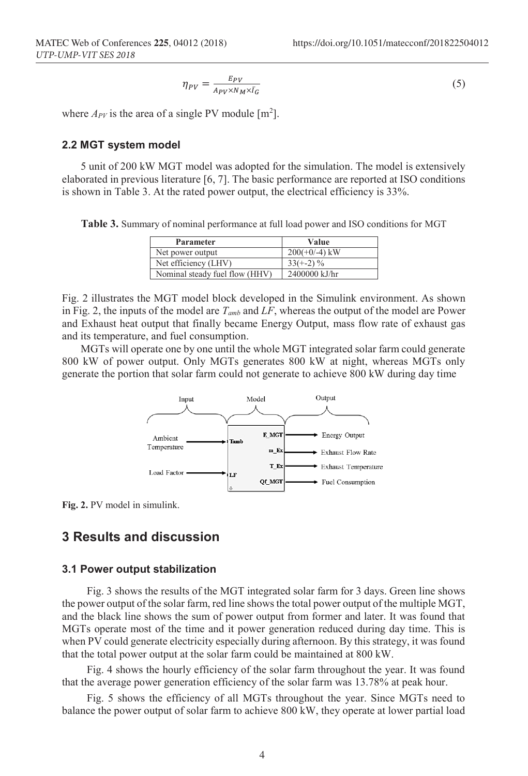$$
\eta_{PV} = \frac{E_{PV}}{A_{PV} \times N_M \times \bar{I}_G} \tag{5}
$$

where  $A_{PV}$  is the area of a single PV module  $[m^2]$ .

#### **2.2 MGT system model**

5 unit of 200 kW MGT model was adopted for the simulation. The model is extensively elaborated in previous literature [6, 7]. The basic performance are reported at ISO conditions is shown in Table 3. At the rated power output, the electrical efficiency is 33%.

**Table 3.** Summary of nominal performance at full load power and ISO conditions for MGT

| Parameter                      | Value           |
|--------------------------------|-----------------|
| Net power output               | $200(+0/-4)$ kW |
| Net efficiency (LHV)           | $33(+-2)\%$     |
| Nominal steady fuel flow (HHV) | 2400000 kJ/hr   |

Fig. 2 illustrates the MGT model block developed in the Simulink environment. As shown in Fig. 2, the inputs of the model are *Tamb* and *LF*, whereas the output of the model are Power and Exhaust heat output that finally became Energy Output, mass flow rate of exhaust gas and its temperature, and fuel consumption.

MGTs will operate one by one until the whole MGT integrated solar farm could generate 800 kW of power output. Only MGTs generates 800 kW at night, whereas MGTs only generate the portion that solar farm could not generate to achieve 800 kW during day time



**Fig. 2.** PV model in simulink.

### **3 Results and discussion**

#### **3.1 Power output stabilization**

Fig. 3 shows the results of the MGT integrated solar farm for 3 days. Green line shows the power output of the solar farm, red line shows the total power output of the multiple MGT, and the black line shows the sum of power output from former and later. It was found that MGTs operate most of the time and it power generation reduced during day time. This is when PV could generate electricity especially during afternoon. By this strategy, it was found that the total power output at the solar farm could be maintained at 800 kW.

Fig. 4 shows the hourly efficiency of the solar farm throughout the year. It was found that the average power generation efficiency of the solar farm was 13.78% at peak hour.

Fig. 5 shows the efficiency of all MGTs throughout the year. Since MGTs need to balance the power output of solar farm to achieve 800 kW, they operate at lower partial load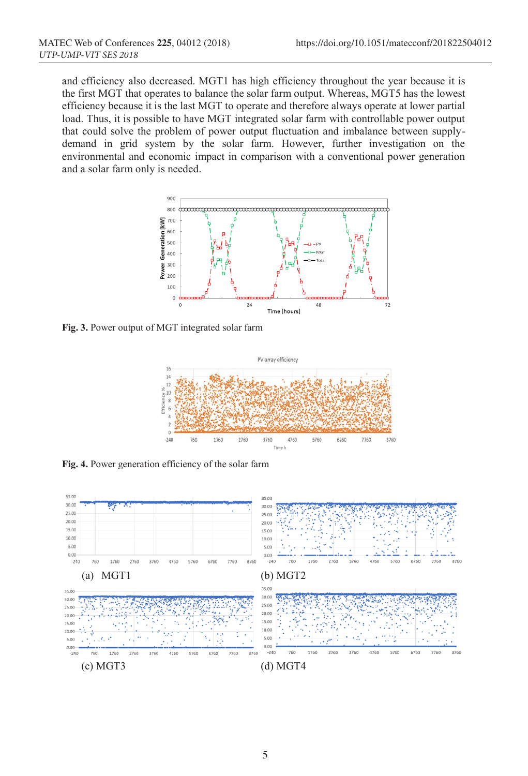and efficiency also decreased. MGT1 has high efficiency throughout the year because it is the first MGT that operates to balance the solar farm output. Whereas, MGT5 has the lowest efficiency because it is the last MGT to operate and therefore always operate at lower partial load. Thus, it is possible to have MGT integrated solar farm with controllable power output that could solve the problem of power output fluctuation and imbalance between supplydemand in grid system by the solar farm. However, further investigation on the environmental and economic impact in comparison with a conventional power generation and a solar farm only is needed.



**Fig. 3.** Power output of MGT integrated solar farm



**Fig. 4.** Power generation efficiency of the solar farm